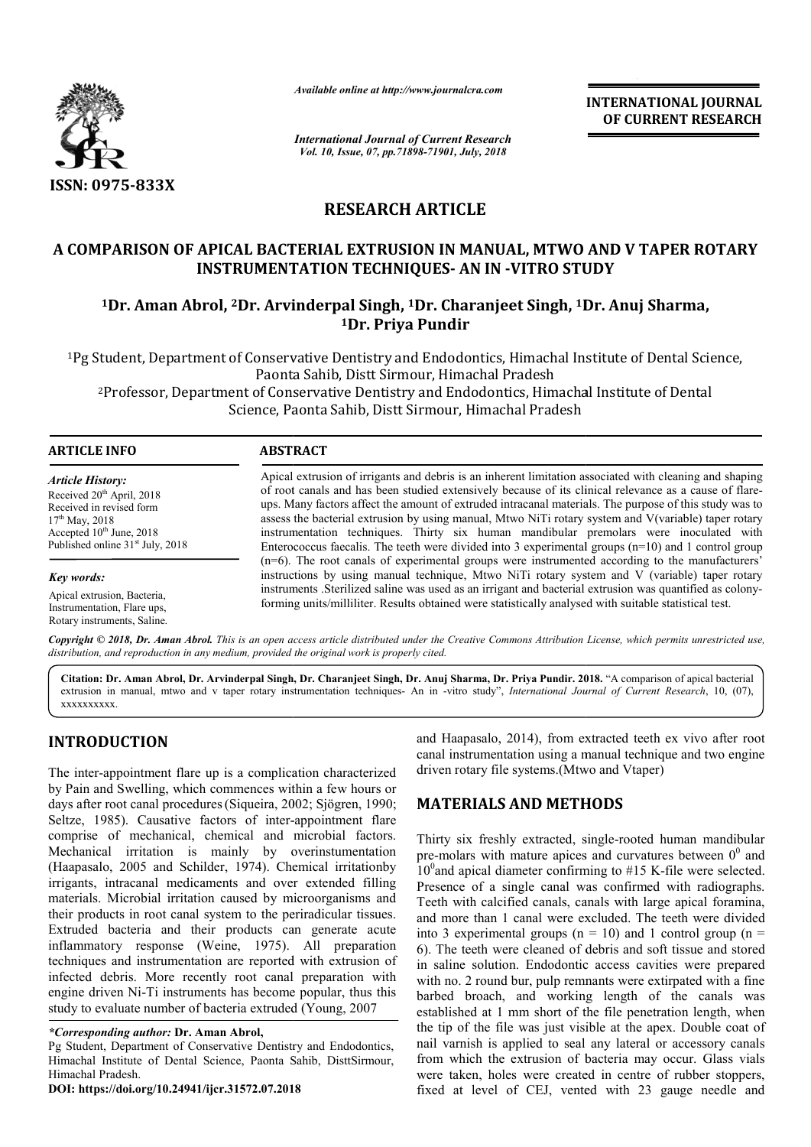

*Available online at http://www.journalcra.com*

*International Journal of Current Research Vol. 10, Issue, 07, pp.71898-71901, July, 2018*

**INTERNATIONAL JOURNAL OF CURRENT RESEARCH**

# **RESEARCH ARTICLE**

## A COMPARISON OF APICAL BACTERIAL EXTRUSION IN MANUAL, MTWO AND V TAPER ROTARY **INSTRUMENTATION TECHNIQUES TECHNIQUES- AN IN -VITRO STUDY**

# **1Dr. Aman Abrol, 2Dr. Arvinderpal Singh Singh, 1Dr. Charanjeet Singh, 1Dr VITRO Dr. Anuj Sharma, 1Dr. Priya Pundir**

1Pg Student, Department of Conservative Dentistry and Endodontics, Himachal Institute of Dental Science, Pg Paonta Sahib, Distt Sirmour, Himachal Pradesh tudent, Department of Conservative Dentistry and Endodontics, Himachal Institute of Dental Scie<br>Paonta Sahib, Distt Sirmour, Himachal Pradesh<br>Professor, Department of Conservative Dentistry and Endodontics, Himachal Instit

Science, Paonta Sahib, Distt Sirmour, Himachal Pradesh

| <b>ARTICLE INFO</b>                                                                                                                                                                  | <b>ABSTRACT</b>                                                                                                                                                                                                                                                                                                                                                                                                                                                                                                                                                                                                                                                                                                                              |
|--------------------------------------------------------------------------------------------------------------------------------------------------------------------------------------|----------------------------------------------------------------------------------------------------------------------------------------------------------------------------------------------------------------------------------------------------------------------------------------------------------------------------------------------------------------------------------------------------------------------------------------------------------------------------------------------------------------------------------------------------------------------------------------------------------------------------------------------------------------------------------------------------------------------------------------------|
| <b>Article History:</b><br>Received $20th$ April, 2018<br>Received in revised form<br>$17th$ May, 2018<br>Accepted $10th$ June, 2018<br>Published online 31 <sup>st</sup> July, 2018 | Apical extrusion of irrigants and debris is an inherent limitation associated with cleaning and shaping<br>of root canals and has been studied extensively because of its clinical relevance as a cause of flare-<br>ups. Many factors affect the amount of extruded intracanal materials. The purpose of this study was to<br>assess the bacterial extrusion by using manual, Mtwo NiTi rotary system and V(variable) taper rotary<br>instrumentation techniques. Thirty six human mandibular premolars were inoculated with<br>Enterococcus faecalis. The teeth were divided into 3 experimental groups $(n=10)$ and 1 control group<br>$(n=6)$ . The root canals of experimental groups were instrumented according to the manufacturers' |
| Key words:                                                                                                                                                                           | instructions by using manual technique, Mtwo NiTi rotary system and V (variable) taper rotary                                                                                                                                                                                                                                                                                                                                                                                                                                                                                                                                                                                                                                                |
| Apical extrusion, Bacteria,<br>Instrumentation, Flare ups.<br>Rotary instruments, Saline.                                                                                            | instruments . Sterilized saline was used as an irrigant and bacterial extrusion was quantified as colony-<br>forming units/milliliter. Results obtained were statistically analysed with suitable statistical test.                                                                                                                                                                                                                                                                                                                                                                                                                                                                                                                          |
|                                                                                                                                                                                      | Copyright © 2018, Dr. Aman Abrol. This is an open access article distributed under the Creative Commons Attribution License, which permits unrestricted use,                                                                                                                                                                                                                                                                                                                                                                                                                                                                                                                                                                                 |

*distribution, and reproduction in any medium, provided the original work is properly cited.* **Citation: Dr. Aman Abrol, Dr. Arvinderpal Singh, Dr. Charanjeet Singh, Dr. Anuj Sharma, Dr. Priya Pundir. 201 2018.** "A comparison of apical bacterial extrusion in manual, mtwo and v taper rotary instrumentation techniques- An in -vitro study", *International Journal of Current Research*, 10, (07),

## **INTRODUCTION**

xxxxxxxxxx.

The inter-appointment flare up is a complication characterized by Pain and Swelling, which commences within a few hours or days after root canal procedures (Siqueira, 2002; Sjögren, 1990; Seltze, 1985). Causative factors of inter-appointment flare comprise of mechanical, chemical and microbial factors. Mechanical irritation is mainly by overinstumentation (Haapasalo, 2005 and Schilder, 1974). Chemical irritationby irrigants, intracanal medicaments and over extended filling materials. Microbial irritation caused by microorganisms and their products in root canal system to the periradicular tissues. (Haapasalo, 2005 and Schilder, 1974). Chemical irritationby irrigants, intracanal medicaments and over extended filling materials. Microbial irritation caused by microorganisms and their products in root canal system to th inflammatory response (Weine, 1975). All preparation techniques and instrumentation are reported with extrusion of infected debris. More recently root canal preparation with engine driven Ni-Ti instruments has become popular, thus this study to evaluate number of bacteria extruded (Young, 2007) appointment flare up is a complication characterized<br>ad Swelling, which commences within a few hours or<br>root canal procedures (Siqueira, 2002; Sjögren, 1990; sponse (Weine, 1975). All preparat<br>strumentation are reported with extrusion<br>More recently root canal preparation w<br>Ti instruments has become popular, thus t<br>number of bacteria extruded (Young, 2007)

and Haapasalo, 2014), from extracted teeth ex vivo after root canal instrumentation using a manual technique and two engine driven rotary file systems.(Mtwo and Vtaper)

## **MATERIALS AND METHODS METHODS**

and Haapasalo, 2014), from extracted teeth ex vivo after root<br>complication characterized<br>driven rotary file systems.(Mtwo and Vaper)<br>rina, 2002; Sjögen, 1990;<br>inter-appointment flare<br>and microbial factors.<br>Thirty six fresh Thirty six freshly extracted, single-rooted human mandibular pre-molars with mature apices and curvatures between  $0^0$  and  $10^0$  and apical diameter confirming to #15 K-file were selected. Presence of a single canal was confirmed with radiographs. Presence of a single canal was confirmed with radiographs.<br>Teeth with calcified canals, canals with large apical foramina, and more than 1 canal were excluded. The teeth were divided into 3 experimental groups ( $n = 10$ ) and 1 control group ( $n =$ 6). The teeth were cleaned of debris and soft tissue and stored in saline solution. Endodontic access cavities were prepared with no. 2 round bur, pulp remnants were extirpated with a fine barbed broach, and working length of the canals was established at 1 mm short of the file penetration length, when the tip of the file was just visible at the apex. Double coat of nail varnish is applied to seal any lateral or accessory canals from which the extrusion of bacteria may occur. Glass vials were taken, holes were created in centre of rubber stoppers, fixed at level of CEJ, vented with 23 gauge needle and  $\alpha$  3 experimental groups ( $n = 10$ ) and 1 control group ( $n =$  The teeth were cleaned of debris and soft tissue and stored saline solution. Endodontic access cavities were prepared  $h$  no. 2 round bur, pulp remnants were INTERNATIONAL JOURNAL<br>
INTERNATIONAL JOURNAL<br>
IN Research<br>
IDE CURRENT RESEARCH<br>
IN A MANUAL, MTWO AND V TAPER ROTARY<br>
ICLE<br>
ICLE<br>
IMMUAL, MTWO AND V TAPER ROTARY<br>
ICLE<br>
AN IN -VITRO STUDY<br>
harmanjeet Singh, 1Dr. Anuj Sha

*<sup>\*</sup>Corresponding author:* **Dr. Aman Abrol,**

Pg Student, Department of Conservative Dentistry and Endodontics, Himachal Institute of Dental Science, Paonta Sahib, DisttSirmour, Himachal Pradesh.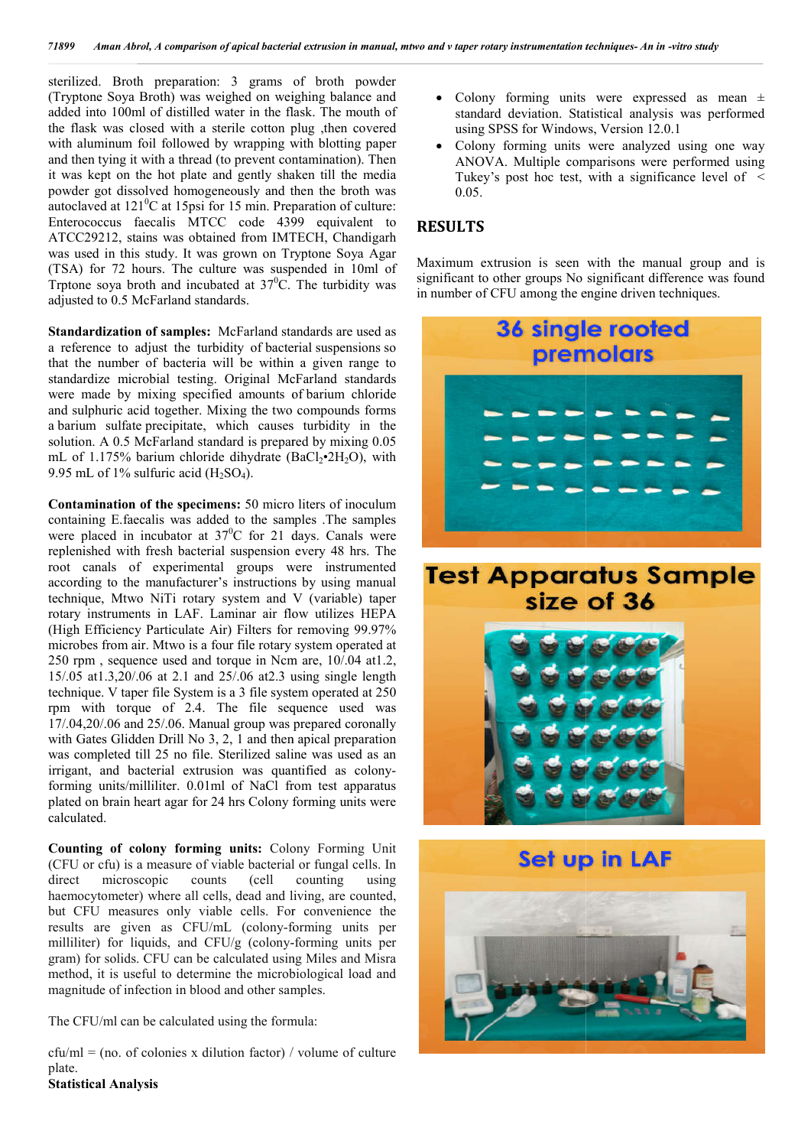sterilized. Broth preparation: 3 grams of broth powder (Tryptone Soya Broth) was weighed on weighing balance and added into 100ml of distilled water in the flask. The mouth of the flask was closed with a sterile cotton plug ,then covered with aluminum foil followed by wrapping with blotting paper and then tying it with a thread (to prevent contamination). Then it was kept on the hot plate and gently shaken till the media powder got dissolved homogeneously and then the broth was autoclaved at  $121^0C$  at 15psi for 15 min. Preparation of culture: and then tying it with a thread (to prevent contamination). Then<br>it was kept on the hot plate and gently shaken till the media<br>powder got dissolved homogeneously and then the broth was<br>autoclaved at  $121^0C$  at  $15\text{psi}$  ATCC29212, stains was obtained from IMTECH, Chandigarh was used in this study. It was grown on Tryptone Soya Agar (TSA) for 72 hours. The culture was suspended in 10ml of Trptone soya broth and incubated at  $37^{\circ}$ C. The turbidity was adjusted to 0.5 McFarland standards. **Example 19 and 19 and 19 and 19 and 19 and 19 and 19 and 19 and 19 and 19 and 19 and 19 and 19 and 19 and 19 and 19 and 19 and 19 and 19 and 19 and 19 and 19 and 19 and 19 and 19 and 19 and 19 and 19 and 19 and 19 and 19** 

Standardization of samples: McFarland standards are used as a reference to adjust the turbidity of bacterial suspensions so that the number of bacteria will be within a given range to standardize microbial testing. Original McFarland standards were made by mixing specified amounts of barium chloride and sulphuric acid together. Mixing the two compounds forms a barium sulfate precipitate, which causes turbidity in the solution. A 0.5 McFarland standard is prepared by mixing 0.05 mL of 1.175% barium chloride dihydrate  $(BaCl<sub>2</sub>•2H<sub>2</sub>O)$ , with 9.95 mL of 1% sulfuric acid  $(H_2SO_4)$ .

**Contamination of the specimens:** 50 micro liters of inoculum containing E.faecalis was added to the samples .The samples were placed in incubator at  $37^{\circ}$ C for 21 days. Canals were replenished with fresh bacterial suspension every 48 hrs. The root canals of experimental groups were instrumented according to the manufacturer's instructions by using manual technique, Mtwo NiTi rotary system and V (variable) taper rotary instruments in LAF. Laminar air flow utilizes HEPA (High Efficiency Particulate Air) Filters for removing 99.97% microbes from air. Mtwo is a four file rotary system operated at 250 rpm, sequence used and torque in Ncm are, 10/.04 at1.2, 15/.05 at1.3,20/.06 at 2.1 and 25/.06 at2.3 using single length technique. V taper file System is a 3 file system operated at 250 rpm with torque of 2.4. The file sequence used was 17/.04,20/.06 and 25/.06. Manual group was prepared coronally with Gates Glidden Drill No 3, 2, 1 and then apical preparation was completed till 25 no file. Sterilized saline was used as an was completed till 25 no file. Sterilized saline was used as an irrigant, and bacterial extrusion was quantified as colonyforming units/milliliter. 0.01ml of NaCl from test apparatus plated on brain heart agar for 24 hrs Colony forming units were calculated.

**Counting of colony forming units:** Colony Forming Unit (CFU or cfu) is a measure of viable bacterial or fungal cells. In direct microscopic counts (cell counting using haemocytometer) where all cells, dead and living, are counted, but CFU measures only viable cells. For convenience the results are given as CFU/mL (colony-forming units per milliliter) for liquids, and CFU/g (colony-forming units per gram) for solids. CFU can be calculated using Miles and Misra method, it is useful to determine the microbiological load and magnitude of infection in blood and other samples. y viable cells. For convenience the<br>CFU/mL (colony-forming units per<br>nd CFU/g (colony-forming units per

The CFU/ml can be calculated using the formula:

 $cfu/ml = (no. of colonies x dilution factor) / volume of culture$ plate.

 Colony forming units were analyzed using one way ANOVA. Multiple comparisons were performed using Tukey's post hoc test, with a significance level of  $\leq$ 0.05.

## **RESULTS**

Maximum extrusion is seen with the manual group and is significant to other groups No significant difference was found in number of CFU among the engine driven techniques.

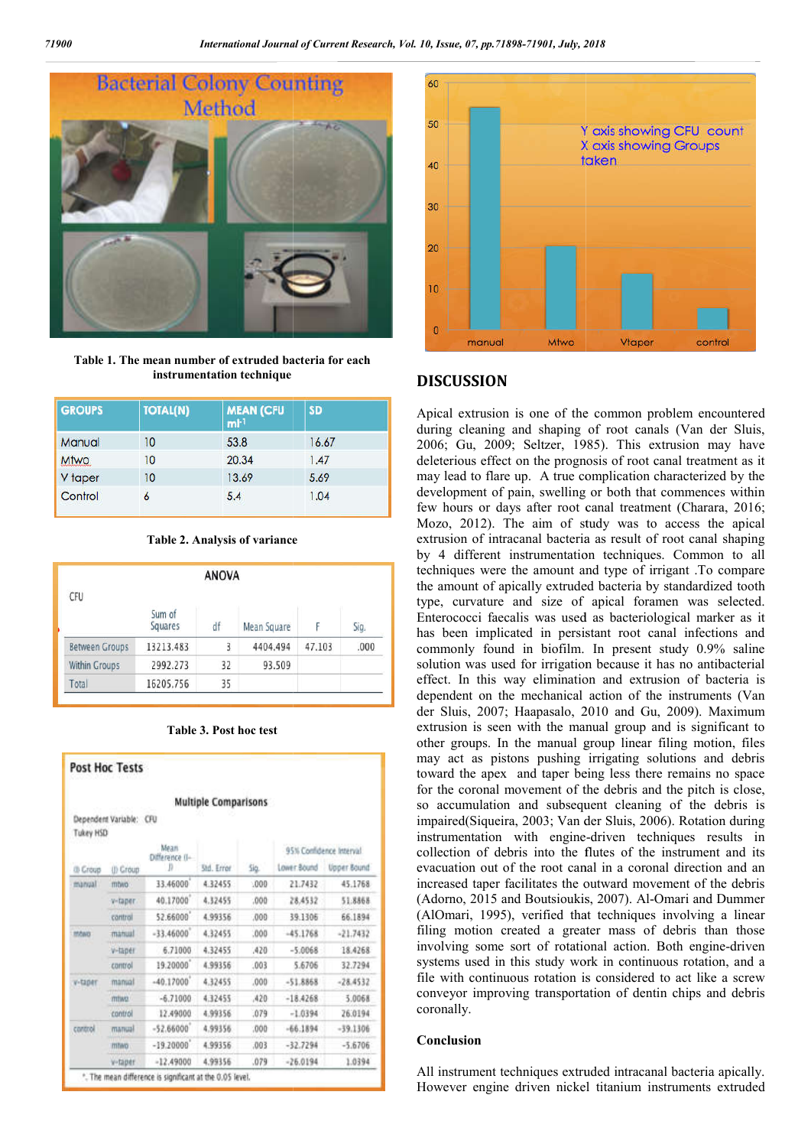

**Table 1. The mean number of extruded bacteria for each instrumentation technique**

| <b>GROUPS</b> | <b>TOTAL(N)</b> | <b>MEAN (CFU</b><br>$ml-1$ | <b>SD</b> |
|---------------|-----------------|----------------------------|-----------|
| Manual        | 10              | 53.8                       | 16.67     |
| <b>Mtwo</b>   | 10              | 20.34                      | 1.47      |
| V taper       | 10              | 13.69                      | 5.69      |
| Control       | 6               | 5.4                        | 1.04      |

|  |  |  |  | <b>Table 2. Analysis of variance</b> |
|--|--|--|--|--------------------------------------|
|--|--|--|--|--------------------------------------|

|                       |                   | <b>ANOVA</b> |             |        |      |
|-----------------------|-------------------|--------------|-------------|--------|------|
| <b>CFU</b>            | Sum of<br>Squares | df           | Mean Square |        | Sig. |
| <b>Between Groups</b> | 13213.483         | 3            | 4404.494    | 47.103 | .000 |
| <b>Within Groups</b>  | 2992.273          | 32           | 93.509      |        |      |
| Total                 | 16205.756         | 35           |             |        |      |

| <b>Table 3. Post hoc test</b> |  |  |  |  |  |
|-------------------------------|--|--|--|--|--|
|-------------------------------|--|--|--|--|--|

|                  | <b>Post Hoc Tests</b>   |                        |                             |      |                         |             |  |
|------------------|-------------------------|------------------------|-----------------------------|------|-------------------------|-------------|--|
|                  |                         |                        | <b>Multiple Comparisons</b> |      |                         |             |  |
| <b>Tukey HSD</b> | Dependent Variable: CFU |                        |                             |      |                         |             |  |
|                  |                         | Mean<br>Difference (I- |                             |      | 95% Confidence Interval |             |  |
| <b>B Croup</b>   | (I) Croup               | n                      | Std. Error                  | Sig. | Lower Bound             | Upper Bound |  |
| mangal           | mbivo                   | 33.46000               | 4.32455                     | 000  | 21.7432                 | 45.1768     |  |
|                  | v-taper.                | 40.17000               | 4.32455                     | .000 | 28.4532                 | 51.8868     |  |
|                  | control                 | \$2,66000              | 4.99356                     | .000 | 39.1306                 | 66.1894     |  |
| <b>MAND</b>      | manual                  | $-33.46000$            | 4.32455                     | .000 | $-45.1768$              | $-21.7432$  |  |
|                  | v-taner                 | 6.71000                | 4.32455                     | .420 | $-5.0068$               | 18,4768     |  |
|                  | control                 | 19:20000               | 4.99356                     | .003 | 5.6706                  | 32.7294     |  |
| v-taper          | manual                  | $-40.17000$            | 4.32455                     | .000 | $-51.8868$              | $-28.4532$  |  |
|                  | mtwo                    | $-6.71000$             | 4.32455                     | .420 | $-18.4268$              | 5.0068      |  |
|                  | control                 | 12.49000               | 4.99356                     | .079 | $-1.0394$               | 26:0194     |  |
| cantrol          | manual                  | $-52.66000$            | 4.99356                     | .000 | $-66.1894$              | $-39.1306$  |  |
|                  | mtwo                    | $-19.20000$            | 4.99356                     | ,003 | $-32.7294$              | $-5.6706$   |  |
|                  | v-taper                 | $-12.49000$            | 4.99356                     | .079 | $-26.0194$              | 1.0394      |  |



### **DISCUSSION**

Apical extrusion is one of the common problem encountered Apical extrusion is one of the common problem encountered during cleaning and shaping of root canals (Van der Sluis, 2006; Gu, 2009; Seltzer, 1985 , 1985). This extrusion may have deleterious effect on the prognosis of root canal treatment as it may lead to flare up. A true complication characterized by the development of pain, swelling or both that commences within few hours or days after root canal treatment (Charara, 2016; Mozo, 2012). The aim of study was to access the apical extrusion of intracanal bacteria as result of root canal shaping by 4 different instrumentation techniques. Common to all techniques were the amount and type of irrigant .To compare the amount of apically extruded bacteria by standardized tooth type, curvature and size of apical foramen was selected. Enterococci faecalis was used as bacteriological marker as it has been implicated in persistant root canal infections and commonly found in biofilm. In present study 0.9% saline solution was used for irrigation because it has no antibacterial effect. In this way elimination and extrusion of bacteria is dependent on the mechanical action of the instruments (Van der Sluis, 2007; Haapasalo, 2010 and Gu, 2009). Maximum extrusion is seen with the manual group and is significant to other groups. In the manual group linear filing motion, files may act as pistons pushing irrigating solutions and debris toward the apex and taper being less there remains no space for the coronal movement of the debris and the pitch is close, so accumulation and subsequent cleaning of the debris is impaired(Siqueira, 2003; Van der Sluis, 2006). Rotation during instrumentation with engine-driven techniques results in collection of debris into the flutes of the instrument and its evacuation out of the root canal in a coronal direction and an increased taper facilitates the outward movement of the debris increased taper facilitates the outward movement of the debris (Adorno, 2015 and Boutsioukis, 2007). Al-Omari and Dummer (AlOmari, 1995), verified that techniques involving a linear filing motion created a greater mass of debris than those involving some sort of rotational action. systems used in this study work in continuous rotation, and a file with continuous rotation is considered to act like a screw conveyor improving transportation of dentin chips and debris coronally. deleterious effect on the prognosis of root canal treatment as it<br>may lead to flare up. A true complication characterized by the<br>development of pain, swelling or both that commences within<br>few hours or days after root cana 2012). The aim of study was to access the apical<br>ion of intracanal bacteria as result of root canal shaping<br>different instrumentation techniques. Common to all<br>ques were the amount and type of irrigant .To compare<br>iount o In this way elimination because it has no antibacterial<br>In this way elimination and extrusion of bacteria is<br>ent on the mechanical action of the instruments (Van In the significant to roups. In the manual group linear filing motion, files the apex and taper being less there remains no space the debris and the pitch is close,<br>uent cleaning of the debris is<br>der Sluis, 2006). Rotation during ari, 1995), verified that techniques involving a linear<br>motion created a greater mass of debris than those<br>ing some sort of rotational action. Both engine-driven Issue, 07, pp. 71898-71901, July, 2018<br>
Y cokis showing CFU count K continuous<br>
Y cokis showing GFU count techniques intracanal applements<br>
Tation is one of the communa problem encountered interactions with<br>
mericular and

### **Conclusion**

All instrument techniques extruded intracanal bacteria apically. However engine driven nickel titanium instruments extruded